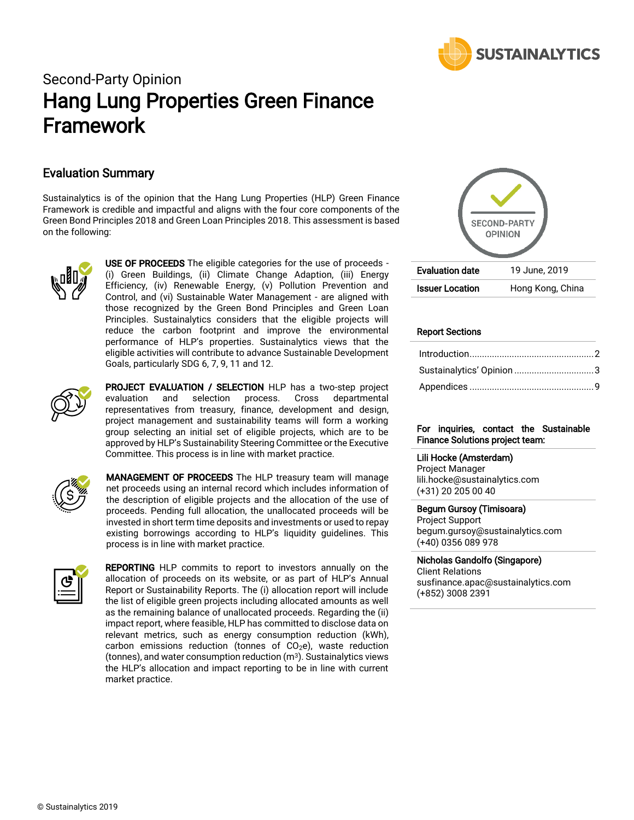

# Second-Party Opinion Hang Lung Properties Green Finance Framework

## Evaluation Summary

Sustainalytics is of the opinion that the Hang Lung Properties (HLP) Green Finance Framework is credible and impactful and aligns with the four core components of the Green Bond Principles 2018 and Green Loan Principles 2018. This assessment is based on the following:



USE OF PROCEEDS The eligible categories for the use of proceeds -(i) Green Buildings, (ii) Climate Change Adaption, (iii) Energy Efficiency, (iv) Renewable Energy, (v) Pollution Prevention and Control, and (vi) Sustainable Water Management - are aligned with those recognized by the Green Bond Principles and Green Loan Principles. Sustainalytics considers that the eligible projects will reduce the carbon footprint and improve the environmental performance of HLP's properties. Sustainalytics views that the eligible activities will contribute to advance Sustainable Development Goals, particularly SDG 6, 7, 9, 11 and 12.



PROJECT EVALUATION / SELECTION HLP has a two-step project evaluation and selection process. Cross departmental representatives from treasury, finance, development and design, project management and sustainability teams will form a working group selecting an initial set of eligible projects, which are to be approved by HLP's Sustainability Steering Committee or the Executive Committee. This process is in line with market practice.



MANAGEMENT OF PROCEEDS The HLP treasury team will manage net proceeds using an internal record which includes information of the description of eligible projects and the allocation of the use of proceeds. Pending full allocation, the unallocated proceeds will be invested in short term time deposits and investments or used to repay existing borrowings according to HLP's liquidity guidelines. This process is in line with market practice.



REPORTING HLP commits to report to investors annually on the allocation of proceeds on its website, or as part of HLP's Annual Report or Sustainability Reports. The (i) allocation report will include the list of eligible green projects including allocated amounts as well as the remaining balance of unallocated proceeds. Regarding the (ii) impact report, where feasible, HLP has committed to disclose data on relevant metrics, such as energy consumption reduction (kWh), carbon emissions reduction (tonnes of  $CO<sub>2</sub>e$ ), waste reduction (tonnes), and water consumption reduction  $(m^3)$ . Sustainalytics views the HLP's allocation and impact reporting to be in line with current market practice.



#### Report Sections

#### For inquiries, contact the Sustainable Finance Solutions project team:

#### Lili Hocke (Amsterdam)

Project Manager lili.hocke@sustainalytics.com (+31) 20 205 00 40

#### Begum Gursoy (Timisoara)

Project Support begum.gursoy@sustainalytics.com (+40) 0356 089 978

#### Nicholas Gandolfo (Singapore)

Client Relations susfinance.apac@sustainalytics.com (+852) 3008 2391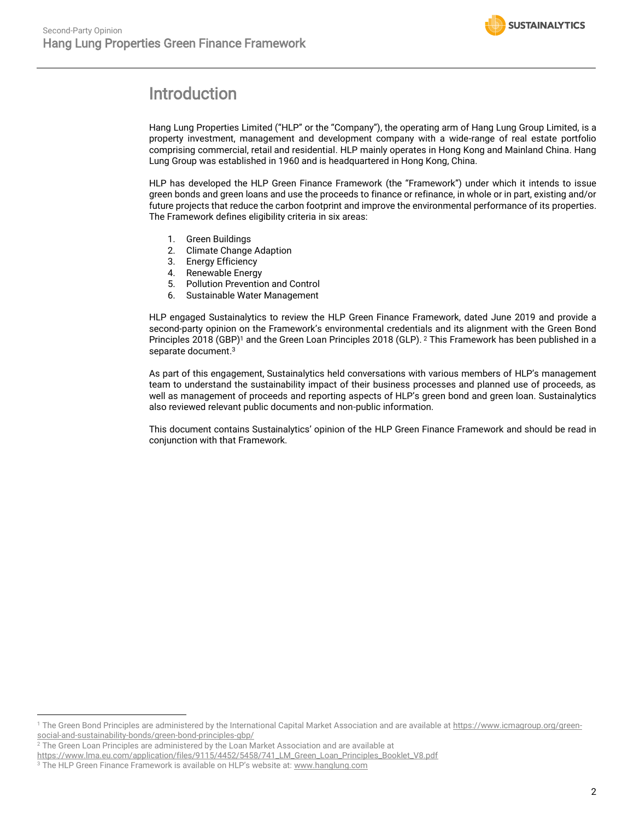

# <span id="page-1-0"></span>Introduction

Hang Lung Properties Limited ("HLP" or the "Company"), the operating arm of Hang Lung Group Limited, is a property investment, management and development company with a wide-range of real estate portfolio comprising commercial, retail and residential. HLP mainly operates in Hong Kong and Mainland China. Hang Lung Group was established in 1960 and is headquartered in Hong Kong, China.

HLP has developed the HLP Green Finance Framework (the "Framework") under which it intends to issue green bonds and green loans and use the proceeds to finance or refinance, in whole or in part, existing and/or future projects that reduce the carbon footprint and improve the environmental performance of its properties. The Framework defines eligibility criteria in six areas:

- 1. Green Buildings
- 2. Climate Change Adaption
- 3. Energy Efficiency
- 4. Renewable Energy
- 5. Pollution Prevention and Control
- 6. Sustainable Water Management

HLP engaged Sustainalytics to review the HLP Green Finance Framework, dated June 2019 and provide a second-party opinion on the Framework's environmental credentials and its alignment with the Green Bond Principles 2018 (GBP)<sup>1</sup> and the Green Loan Principles 2018 (GLP). <sup>2</sup> This Framework has been published in a separate document. 3

As part of this engagement, Sustainalytics held conversations with various members of HLP's management team to understand the sustainability impact of their business processes and planned use of proceeds, as well as management of proceeds and reporting aspects of HLP's green bond and green loan. Sustainalytics also reviewed relevant public documents and non-public information.

This document contains Sustainalytics' opinion of the HLP Green Finance Framework and should be read in conjunction with that Framework.

 $\overline{a}$ 

<sup>&</sup>lt;sup>1</sup> The Green Bond Principles are administered by the International Capital Market Association and are available a[t https://www.icmagroup.org/green](https://www.icmagroup.org/green-social-and-sustainability-bonds/green-bond-principles-gbp/)[social-and-sustainability-bonds/green-bond-principles-gbp/](https://www.icmagroup.org/green-social-and-sustainability-bonds/green-bond-principles-gbp/) 

 $2$  The Green Loan Principles are administered by the Loan Market Association and are available at

[https://www.lma.eu.com/application/files/9115/4452/5458/741\\_LM\\_Green\\_Loan\\_Principles\\_Booklet\\_V8.pdf](https://www.lma.eu.com/application/files/9115/4452/5458/741_LM_Green_Loan_Principles_Booklet_V8.pdf)

<sup>&</sup>lt;sup>3</sup> The HLP Green Finance Framework is available on HLP's website at: [www.hanglung.com](http://www.hanglung.com/)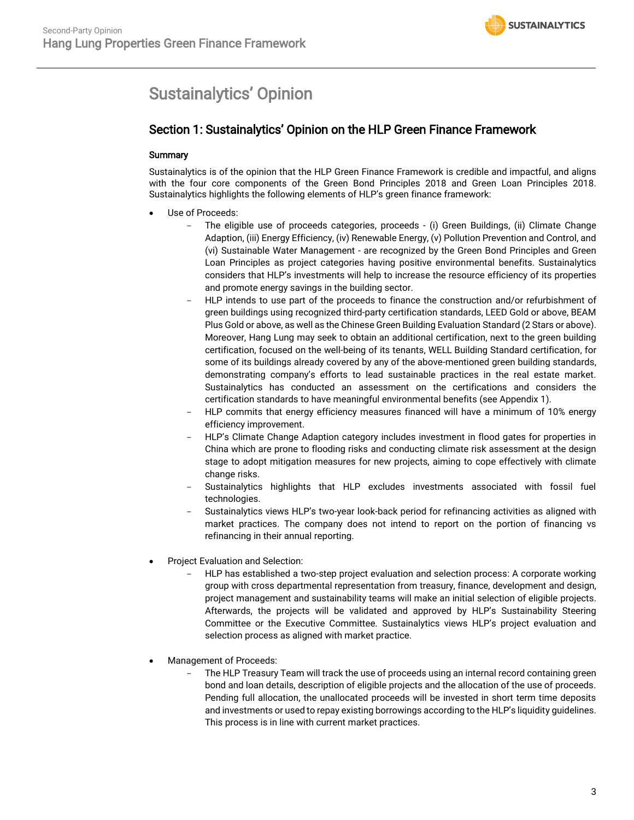# <span id="page-2-0"></span>Sustainalytics' Opinion

## Section 1: Sustainalytics' Opinion on the HLP Green Finance Framework

#### **Summary**

Sustainalytics is of the opinion that the HLP Green Finance Framework is credible and impactful, and aligns with the four core components of the Green Bond Principles 2018 and Green Loan Principles 2018. Sustainalytics highlights the following elements of HLP's green finance framework:

- Use of Proceeds:
	- The eligible use of proceeds categories, proceeds (i) Green Buildings, (ii) Climate Change Adaption, (iii) Energy Efficiency, (iv) Renewable Energy, (v) Pollution Prevention and Control, and (vi) Sustainable Water Management - are recognized by the Green Bond Principles and Green Loan Principles as project categories having positive environmental benefits. Sustainalytics considers that HLP's investments will help to increase the resource efficiency of its properties and promote energy savings in the building sector.
	- HLP intends to use part of the proceeds to finance the construction and/or refurbishment of green buildings using recognized third-party certification standards, LEED Gold or above, BEAM Plus Gold or above, as well as the Chinese Green Building Evaluation Standard (2 Stars or above). Moreover, Hang Lung may seek to obtain an additional certification, next to the green building certification, focused on the well-being of its tenants, WELL Building Standard certification, for some of its buildings already covered by any of the above-mentioned green building standards, demonstrating company's efforts to lead sustainable practices in the real estate market. Sustainalytics has conducted an assessment on the certifications and considers the certification standards to have meaningful environmental benefits (see Appendix 1).
	- HLP commits that energy efficiency measures financed will have a minimum of 10% energy efficiency improvement.
	- HLP's Climate Change Adaption category includes investment in flood gates for properties in China which are prone to flooding risks and conducting climate risk assessment at the design stage to adopt mitigation measures for new projects, aiming to cope effectively with climate change risks.
	- Sustainalytics highlights that HLP excludes investments associated with fossil fuel technologies.
	- Sustainalytics views HLP's two-year look-back period for refinancing activities as aligned with market practices. The company does not intend to report on the portion of financing vs refinancing in their annual reporting.
- Project Evaluation and Selection:
	- HLP has established a two-step project evaluation and selection process: A corporate working group with cross departmental representation from treasury, finance, development and design, project management and sustainability teams will make an initial selection of eligible projects. Afterwards, the projects will be validated and approved by HLP's Sustainability Steering Committee or the Executive Committee. Sustainalytics views HLP's project evaluation and selection process as aligned with market practice.
- Management of Proceeds:
	- The HLP Treasury Team will track the use of proceeds using an internal record containing green bond and loan details, description of eligible projects and the allocation of the use of proceeds. Pending full allocation, the unallocated proceeds will be invested in short term time deposits and investments or used to repay existing borrowings according to the HLP's liquidity guidelines. This process is in line with current market practices.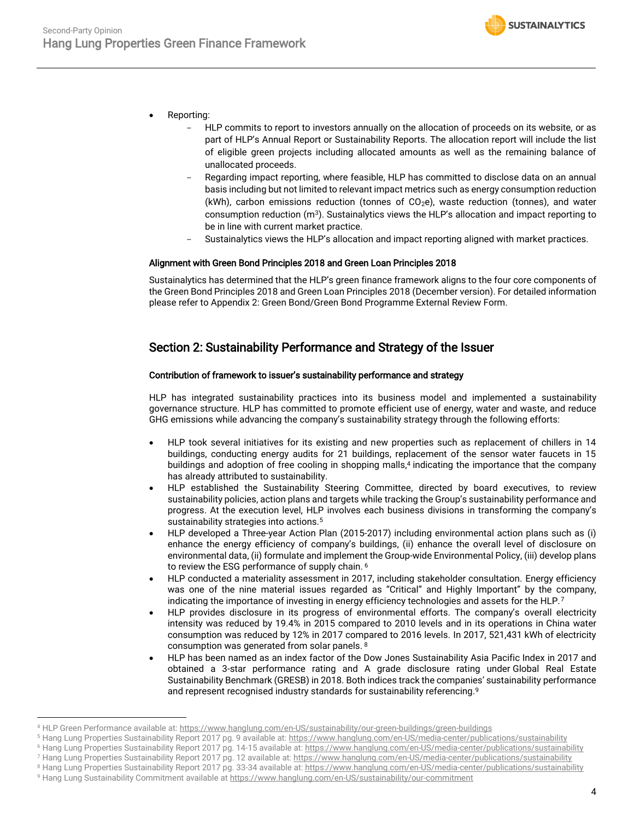- Reporting:
	- HLP commits to report to investors annually on the allocation of proceeds on its website, or as part of HLP's Annual Report or Sustainability Reports. The allocation report will include the list of eligible green projects including allocated amounts as well as the remaining balance of unallocated proceeds.
	- Regarding impact reporting, where feasible, HLP has committed to disclose data on an annual basis including but not limited to relevant impact metrics such as energy consumption reduction (kWh), carbon emissions reduction (tonnes of  $CO<sub>2</sub>e$ ), waste reduction (tonnes), and water consumption reduction  $(m^3)$ . Sustainalytics views the HLP's allocation and impact reporting to be in line with current market practice.
	- Sustainalytics views the HLP's allocation and impact reporting aligned with market practices.

#### Alignment with Green Bond Principles 2018 and Green Loan Principles 2018

Sustainalytics has determined that the HLP's green finance framework aligns to the four core components of the Green Bond Principles 2018 and Green Loan Principles 2018 (December version). For detailed information please refer to Appendix 2: Green Bond/Green Bond Programme External Review Form.

## Section 2: Sustainability Performance and Strategy of the Issuer

#### Contribution of framework to issuer's sustainability performance and strategy

HLP has integrated sustainability practices into its business model and implemented a sustainability governance structure. HLP has committed to promote efficient use of energy, water and waste, and reduce GHG emissions while advancing the company's sustainability strategy through the following efforts:

- HLP took several initiatives for its existing and new properties such as replacement of chillers in 14 buildings, conducting energy audits for 21 buildings, replacement of the sensor water faucets in 15 buildings and adoption of free cooling in shopping malls, <sup>4</sup> indicating the importance that the company has already attributed to sustainability.
- HLP established the Sustainability Steering Committee, directed by board executives, to review sustainability policies, action plans and targets while tracking the Group's sustainability performance and progress. At the execution level, HLP involves each business divisions in transforming the company's sustainability strategies into actions.<sup>5</sup>
- HLP developed a Three-year Action Plan (2015-2017) including environmental action plans such as (i) enhance the energy efficiency of company's buildings, (ii) enhance the overall level of disclosure on environmental data, (ii) formulate and implement the Group-wide Environmental Policy, (iii) develop plans to review the ESG performance of supply chain. 6
- HLP conducted a materiality assessment in 2017, including stakeholder consultation. Energy efficiency was one of the nine material issues regarded as "Critical" and Highly Important" by the company, indicating the importance of investing in energy efficiency technologies and assets for the HLP.<sup>7</sup>
- HLP provides disclosure in its progress of environmental efforts. The company's overall electricity intensity was reduced by 19.4% in 2015 compared to 2010 levels and in its operations in China water consumption was reduced by 12% in 2017 compared to 2016 levels. In 2017, 521,431 kWh of electricity consumption was generated from solar panels. <sup>8</sup>
- HLP has been named as an index factor of the Dow Jones Sustainability Asia Pacific Index in 2017 and obtained a 3-star performance rating and A grade disclosure rating under [Global Real Estate](https://gresb.com/)  [Sustainability Benchmark \(GRESB\)](https://gresb.com/) in 2018. Both indices track the companies' sustainability performance and represent recognised industry standards for sustainability referencing.<sup>9</sup>

 $\overline{a}$ 

<sup>4</sup> HLP Green Performance available at[: https://www.hanglung.com/en-US/sustainability/our-green-buildings/green-buildings](https://www.hanglung.com/en-US/sustainability/our-green-buildings/green-buildings)

<sup>&</sup>lt;sup>5</sup> Hang Lung Properties Sustainability Report 2017 pg. 9 available at:<https://www.hanglung.com/en-US/media-center/publications/sustainability>

<sup>&</sup>lt;sup>6</sup> Hang Lung Properties Sustainability Report 2017 pg. 14-15 available at[: https://www.hanglung.com/en-US/media-center/publications/sustainability](https://www.hanglung.com/en-US/media-center/publications/sustainability)

<sup>&</sup>lt;sup>7</sup> Hang Lung Properties Sustainability Report 2017 pg. 12 available at[: https://www.hanglung.com/en-US/media-center/publications/sustainability](https://www.hanglung.com/en-US/media-center/publications/sustainability)

<sup>&</sup>lt;sup>8</sup> Hang Lung Properties Sustainability Report 2017 pg. 33-34 available at[: https://www.hanglung.com/en-US/media-center/publications/sustainability](https://www.hanglung.com/en-US/media-center/publications/sustainability)

<sup>9</sup> Hang Lung Sustainability Commitment available a[t https://www.hanglung.com/en-US/sustainability/our-commitment](https://www.hanglung.com/en-US/sustainability/our-commitment)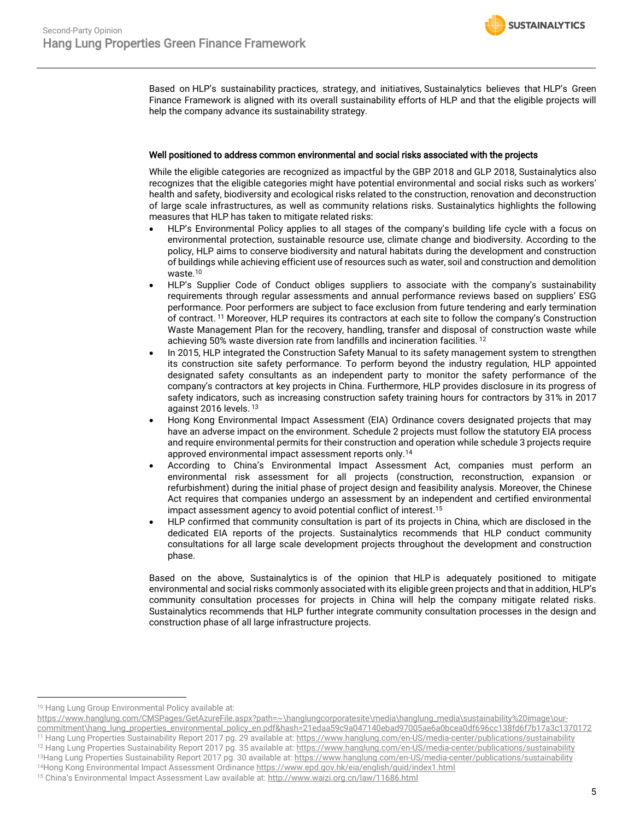

Based on HLP's sustainability practices, strategy, and initiatives, Sustainalytics believes that HLP's Green Finance Framework is aligned with its overall sustainability efforts of HLP and that the eligible projects will help the company advance its sustainability strategy.

#### Well positioned to address common environmental and social risks associated with the projects

While the eligible categories are recognized as impactful by the GBP 2018 and GLP 2018, Sustainalytics also recognizes that the eligible categories might have potential environmental and social risks such as workers' health and safety, biodiversity and ecological risks related to the construction, renovation and deconstruction of large scale infrastructures, as well as community relations risks. Sustainalytics highlights the following measures that HLP has taken to mitigate related risks:

- HLP's Environmental Policy applies to all stages of the company's building life cycle with a focus on environmental protection, sustainable resource use, climate change and biodiversity. According to the policy, HLP aims to conserve biodiversity and natural habitats during the development and construction of buildings while achieving efficient use of resources such as water, soil and construction and demolition waste.<sup>10</sup>
- HLP's Supplier Code of Conduct obliges suppliers to associate with the company's sustainability requirements through regular assessments and annual performance reviews based on suppliers' ESG performance. Poor performers are subject to face exclusion from future tendering and early termination of contract. <sup>11</sup> Moreover, HLP requires its contractors at each site to follow the company's Construction Waste Management Plan for the recovery, handling, transfer and disposal of construction waste while achieving 50% waste diversion rate from landfills and incineration facilities. <sup>12</sup>
- In 2015, HLP integrated the Construction Safety Manual to its safety management system to strengthen its construction site safety performance. To perform beyond the industry regulation, HLP appointed designated safety consultants as an independent party to monitor the safety performance of the company's contractors at key projects in China. Furthermore, HLP provides disclosure in its progress of safety indicators, such as increasing construction safety training hours for contractors by 31% in 2017 against 2016 levels. <sup>13</sup>
- Hong Kong Environmental Impact Assessment (EIA) Ordinance covers designated projects that may have an adverse impact on the environment. Schedule 2 projects must follow the statutory EIA process and require environmental permits for their construction and operation while schedule 3 projects require approved environmental impact assessment reports only.<sup>14</sup>
- According to China's Environmental Impact Assessment Act, companies must perform an environmental risk assessment for all projects (construction, reconstruction, expansion or refurbishment) during the initial phase of project design and feasibility analysis. Moreover, the Chinese Act requires that companies undergo an assessment by an independent and certified environmental impact assessment agency to avoid potential conflict of interest. 15
- HLP confirmed that community consultation is part of its projects in China, which are disclosed in the dedicated EIA reports of the projects. Sustainalytics recommends that HLP conduct community consultations for all large scale development projects throughout the development and construction phase.

Based on the above, Sustainalytics is of the opinion that HLP is adequately positioned to mitigate environmental and social risks commonly associated with its eligible green projects and that in addition, HLP's community consultation processes for projects in China will help the company mitigate related risks. Sustainalytics recommends that HLP further integrate community consultation processes in the design and construction phase of all large infrastructure projects.

 $\overline{a}$ 

<sup>11</sup> Hang Lung Properties Sustainability Report 2017 pg. 29 available at[: https://www.hanglung.com/en-US/media-center/publications/sustainability](https://www.hanglung.com/en-US/media-center/publications/sustainability) <sup>12</sup> Hang Lung Properties Sustainability Report 2017 pg. 35 available at[: https://www.hanglung.com/en-US/media-center/publications/sustainability](https://www.hanglung.com/en-US/media-center/publications/sustainability)

13Hang Lung Properties Sustainability Report 2017 pg. 30 available at[: https://www.hanglung.com/en-US/media-center/publications/sustainability](https://www.hanglung.com/en-US/media-center/publications/sustainability)

<sup>&</sup>lt;sup>10</sup> Hang Lung Group Environmental Policy available at:

[https://www.hanglung.com/CMSPages/GetAzureFile.aspx?path=~\hanglungcorporatesite\media\hanglung\\_media\sustainability%20image\our](https://www.hanglung.com/CMSPages/GetAzureFile.aspx?path=~/hanglungcorporatesite/media/hanglung_media/sustainability%20image/our-commitment/hang_lung_properties_environmental_policy_en.pdf&hash=21edaa59c9a047140ebad97005ae6a0bcea0df696cc138fd6f7b17a3c1370172)[commitment\hang\\_lung\\_properties\\_environmental\\_policy\\_en.pdf&hash=21edaa59c9a047140ebad97005ae6a0bcea0df696cc138fd6f7b17a3c1370172](https://www.hanglung.com/CMSPages/GetAzureFile.aspx?path=~/hanglungcorporatesite/media/hanglung_media/sustainability%20image/our-commitment/hang_lung_properties_environmental_policy_en.pdf&hash=21edaa59c9a047140ebad97005ae6a0bcea0df696cc138fd6f7b17a3c1370172)

<sup>14</sup>Hong Kong Environmental Impact Assessment Ordinanc[e https://www.epd.gov.hk/eia/english/guid/index1.html](https://www.epd.gov.hk/eia/english/guid/index1.html) <sup>15</sup> China's Environmental Impact Assessment Law available at: <http://www.waizi.org.cn/law/11686.html>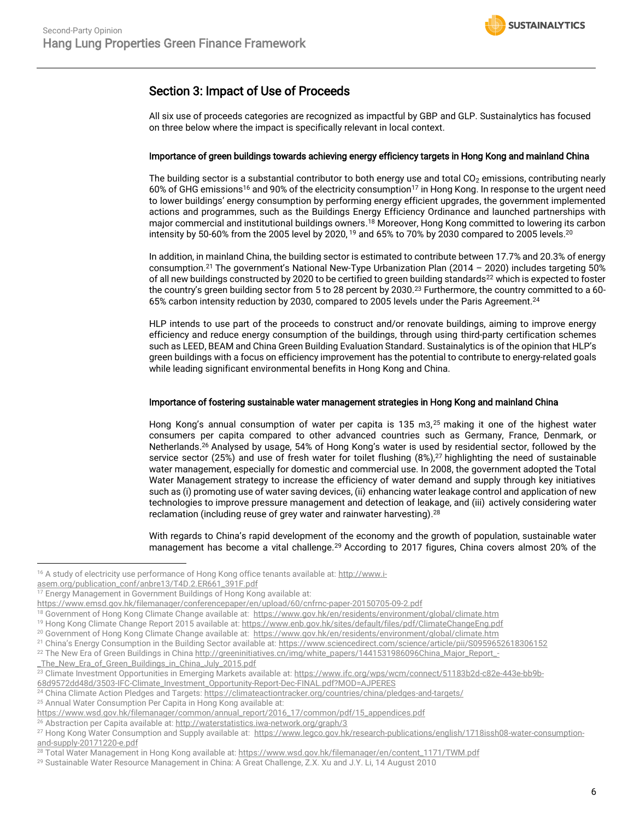## Section 3: Impact of Use of Proceeds

All six use of proceeds categories are recognized as impactful by GBP and GLP. Sustainalytics has focused on three below where the impact is specifically relevant in local context.

#### Importance of green buildings towards achieving energy efficiency targets in Hong Kong and mainland China

The building sector is a substantial contributor to both energy use and total  $CO<sub>2</sub>$  emissions, contributing nearly 60% of GHG emissions<sup>16</sup> and 90% of the electricity consumption<sup>17</sup> in Hong Kong. In response to the urgent need to lower buildings' energy consumption by performing energy efficient upgrades, the government implemented actions and programmes, such as the Buildings Energy Efficiency Ordinance and launched partnerships with major commercial and institutional buildings owners.<sup>18</sup> Moreover, Hong Kong committed to lowering its carbon intensity by 50-60% from the 2005 level by 2020, <sup>19</sup> and 65% to 70% by 2030 compared to 2005 levels.<sup>20</sup>

In addition, in mainland China, the building sector is estimated to contribute between 17.7% and 20.3% of energy consumption.<sup>21</sup> The government's National New-Type Urbanization Plan (2014 – 2020) includes targeting 50% of all new buildings constructed by 2020 to be certified to green building standards<sup>22</sup> which is expected to foster the country's green building sector from [5 to 28 percent by 2030.](http://www.ifc.org/wps/wcm/connect/51183b2d-c82e-443e-bb9b-68d9572dd48d/3503-IFC-Climate_Investment_Opportunity-Report-Dec-FINAL.pdf?MOD=AJPERES) <sup>23</sup> Furthermore, the country committed to a 60- 65% carbon intensity reduction by 2030, compared to 2005 levels under the Paris Agreement.<sup>24</sup>

HLP intends to use part of the proceeds to construct and/or renovate buildings, aiming to improve energy efficiency and reduce energy consumption of the buildings, through using third-party certification schemes such as LEED, BEAM and China Green Building Evaluation Standard. Sustainalytics is of the opinion that HLP's green buildings with a focus on efficiency improvement has the potential to contribute to energy-related goals while leading significant environmental benefits in Hong Kong and China.

#### Importance of fostering sustainable water management strategies in Hong Kong and mainland China

Hong Kong's annual consumption of water per capita is 135 m3, <sup>25</sup> making it one of the highest water consumers per capita compared to other advanced countries such as Germany, France, Denmark, or Netherlands. <sup>26</sup> Analysed by usage, 54% of Hong Kong's water is used by residential sector, followed by the service sector (25%) and use of fresh water for toilet flushing (8%),<sup>27</sup> highlighting the need of sustainable water management, especially for domestic and commercial use. In 2008, the government adopted the Total Water Management strategy to increase the efficiency of water demand and supply through key initiatives such as (i) promoting use of water saving devices, (ii) enhancing water leakage control and application of new technologies to improve pressure management and detection of leakage, and (iii) actively considering water reclamation (including reuse of grey water and rainwater harvesting). 28

With regards to China's rapid development of the economy and the growth of population, sustainable water management has become a vital challenge.<sup>29</sup> According to 2017 figures, China covers almost 20% of the

 $\overline{a}$ 

[\\_The\\_New\\_Era\\_of\\_Green\\_Buildings\\_in\\_China\\_July\\_2015.pdf](http://greeninitiatives.cn/img/white_papers/1441531986096China_Major_Report_-_The_New_Era_of_Green_Buildings_in_China_July_2015.pdf)

<sup>25</sup> Annual Water Consumption Per Capita in Hong Kong available at:

<sup>&</sup>lt;sup>16</sup> A study of electricity use performance of Hong Kong office tenants available at: [http://www.i-](http://www.i-asem.org/publication_conf/anbre13/T4D.2.ER661_391F.pdf)

[asem.org/publication\\_conf/anbre13/T4D.2.ER661\\_391F.pdf](http://www.i-asem.org/publication_conf/anbre13/T4D.2.ER661_391F.pdf)

<sup>&</sup>lt;sup>17</sup> Energy Management in Government Buildings of Hong Kong available at:

<https://www.emsd.gov.hk/filemanager/conferencepaper/en/upload/60/cnfrnc-paper-20150705-09-2.pdf>

<sup>18</sup> Government of Hong Kong Climate Change available at:<https://www.gov.hk/en/residents/environment/global/climate.htm>

<sup>&</sup>lt;sup>19</sup> Hong Kong Climate Change Report 2015 available at[: https://www.enb.gov.hk/sites/default/files/pdf/ClimateChangeEng.pdf](https://www.enb.gov.hk/sites/default/files/pdf/ClimateChangeEng.pdf)

<sup>&</sup>lt;sup>20</sup> Government of Hong Kong Climate Change available at:<https://www.gov.hk/en/residents/environment/global/climate.htm>

<sup>&</sup>lt;sup>21</sup> China's Energy Consumption in the Building Sector available at: <https://www.sciencedirect.com/science/article/pii/S0959652618306152>

<sup>&</sup>lt;sup>22</sup> The New Era of Green Buildings in Chin[a http://greeninitiatives.cn/img/white\\_papers/1441531986096China\\_Major\\_Report\\_-](http://greeninitiatives.cn/img/white_papers/1441531986096China_Major_Report_-_The_New_Era_of_Green_Buildings_in_China_July_2015.pdf)

<sup>&</sup>lt;sup>23</sup> Climate Investment Opportunities in Emerging Markets available at[: https://www.ifc.org/wps/wcm/connect/51183b2d-c82e-443e-bb9b-](https://www.ifc.org/wps/wcm/connect/51183b2d-c82e-443e-bb9b-68d9572dd48d/3503-IFC-Climate_Investment_Opportunity-Report-Dec-FINAL.pdf?MOD=AJPERES)[68d9572dd48d/3503-IFC-Climate\\_Investment\\_Opportunity-Report-Dec-FINAL.pdf?MOD=AJPERES](https://www.ifc.org/wps/wcm/connect/51183b2d-c82e-443e-bb9b-68d9572dd48d/3503-IFC-Climate_Investment_Opportunity-Report-Dec-FINAL.pdf?MOD=AJPERES)

<sup>&</sup>lt;sup>24</sup> China Climate Action Pledges and Targets[: https://climateactiontracker.org/countries/china/pledges-and-targets/](https://climateactiontracker.org/countries/china/pledges-and-targets/)

[https://www.wsd.gov.hk/filemanager/common/annual\\_report/2016\\_17/common/pdf/15\\_appendices.pdf](https://www.wsd.gov.hk/filemanager/common/annual_report/2016_17/common/pdf/15_appendices.pdf)

<sup>&</sup>lt;sup>26</sup> Abstraction per Capita available at[: http://waterstatistics.iwa-network.org/graph/3](http://waterstatistics.iwa-network.org/graph/3)

<sup>&</sup>lt;sup>27</sup> Hong Kong Water Consumption and Supply available at: [https://www.legco.gov.hk/research-publications/english/1718issh08-water-consumption](https://www.legco.gov.hk/research-publications/english/1718issh08-water-consumption-and-supply-20171220-e.pdf)[and-supply-20171220-e.pdf](https://www.legco.gov.hk/research-publications/english/1718issh08-water-consumption-and-supply-20171220-e.pdf)

<sup>&</sup>lt;sup>28</sup> Total Water Management in Hong Kong available at[: https://www.wsd.gov.hk/filemanager/en/content\\_1171/TWM.pdf](https://www.wsd.gov.hk/filemanager/en/content_1171/TWM.pdf)

<sup>29</sup> Sustainable Water Resource Management in China: A Great Challenge, Z.X. Xu and J.Y. Li, 14 August 2010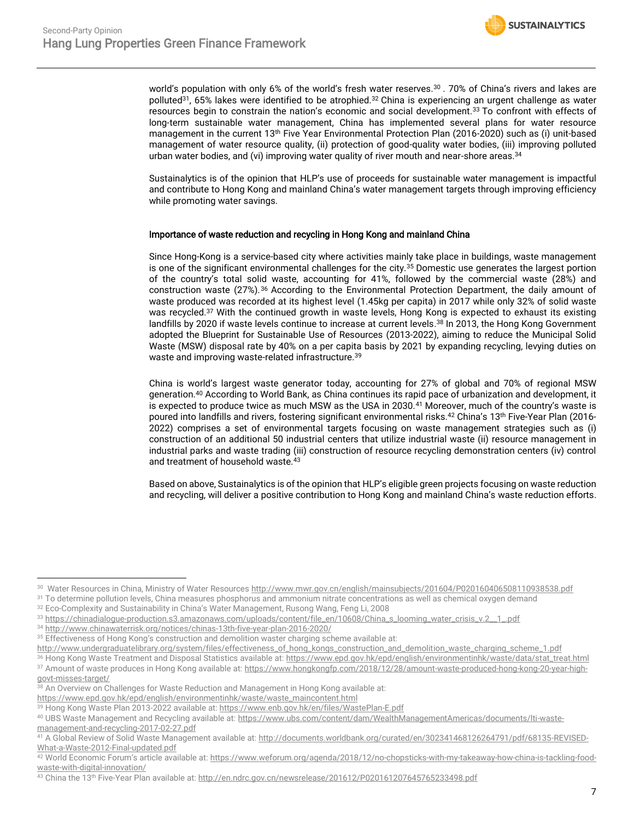world's population with only 6% of the world's fresh water reserves.<sup>30</sup> . 70% of China's rivers and lakes are polluted<sup>31</sup>, 65% lakes were identified to be atrophied.<sup>32</sup> China is experiencing an urgent challenge as water resources begin to constrain the nation's economic and social development.<sup>33</sup> To confront with effects of long-term sustainable water management, China has implemented several plans for water resource management in the current 13<sup>th</sup> Five Year Environmental Protection Plan (2016-2020) such as (i) unit-based management of water resource quality, (ii) protection of good-quality water bodies, (iii) improving polluted urban water bodies, and (vi) improving water quality of river mouth and near-shore areas.<sup>34</sup>

Sustainalytics is of the opinion that HLP's use of proceeds for sustainable water management is impactful and contribute to Hong Kong and mainland China's water management targets through improving efficiency while promoting water savings.

#### Importance of waste reduction and recycling in Hong Kong and mainland China

Since Hong-Kong is a service-based city where activities mainly take place in buildings, waste management is one of the significant environmental challenges for the city.<sup>35</sup> Domestic use generates the largest portion of the country's total solid waste, accounting for 41%, followed by the commercial waste (28%) and construction waste (27%).<sup>36</sup> According to the Environmental Protection Department, the daily amount of waste produced was recorded at its highest level (1.45kg per capita) in 2017 while only 32% of solid waste was recycled.<sup>37</sup> With the continued growth in waste levels, Hong Kong is expected to exhaust its existing landfills by 2020 if waste levels continue to increase at current levels. <sup>38</sup> In 2013, the Hong Kong Government adopted the Blueprint for Sustainable Use of Resources (2013-2022), aiming to reduce the Municipal Solid Waste (MSW) disposal rate by 40% on a per capita basis by 2021 by expanding recycling, levying duties on waste and improving waste-related infrastructure.<sup>39</sup>

China is world's largest waste generator today, accounting for 27% of global and 70% of regional MSW generation.<sup>40</sup> According to World Bank, as China continues its rapid pace of urbanization and development, it is expected to produce twice as much MSW as the USA in 2030.<sup>41</sup> Moreover, much of the country's waste is poured into landfills and rivers, fostering significant environmental risks.<sup>42</sup> China's 13<sup>th</sup> Five-Year Plan (2016-2022) comprises a set of environmental targets focusing on waste management strategies such as (i) construction of an additional 50 industrial centers that utilize industrial waste (ii) resource management in industrial parks and waste trading (iii) construction of resource recycling demonstration centers (iv) control and treatment of household waste.<sup>43</sup>

Based on above, Sustainalytics is of the opinion that HLP's eligible green projects focusing on waste reduction and recycling, will deliver a positive contribution to Hong Kong and mainland China's waste reduction efforts.

 $\overline{a}$ 

37 Amount of waste produces in Hong Kong available at[: https://www.hongkongfp.com/2018/12/28/amount-waste-produced-hong-kong-20-year-high](https://www.hongkongfp.com/2018/12/28/amount-waste-produced-hong-kong-20-year-high-govt-misses-target/)[govt-misses-target/](https://www.hongkongfp.com/2018/12/28/amount-waste-produced-hong-kong-20-year-high-govt-misses-target/)

<sup>&</sup>lt;sup>30</sup> Water Resources in China, Ministry of Water Resources <u>http://www.mwr.gov.cn/english/mainsubjects/201604/P020160406508110938538.pdf</u>

<sup>&</sup>lt;sup>31</sup> To determine pollution levels, China measures phosphorus and ammonium nitrate concentrations as well as chemical oxygen demand

<sup>&</sup>lt;sup>32</sup> Eco-Complexity and Sustainability in China's Water Management, Rusong Wang, Feng Li, 2008

<sup>33</sup> https://chinadialogue-production.s3.amazonaws.com/uploads/content/file\_en/10608/China\_s\_looming\_water\_crisis\_v.2\_1\_pdf

<sup>34</sup> <http://www.chinawaterrisk.org/notices/chinas-13th-five-year-plan-2016-2020/>

<sup>&</sup>lt;sup>35</sup> Effectiveness of Hong Kong's construction and demolition waster charging scheme available at:

[http://www.undergraduatelibrary.org/system/files/effectiveness\\_of\\_hong\\_kongs\\_construction\\_and\\_demolition\\_waste\\_charging\\_scheme\\_1.pdf](http://www.undergraduatelibrary.org/system/files/effectiveness_of_hong_kongs_construction_and_demolition_waste_charging_scheme_1.pdf) <sup>36</sup> Hong Kong Waste Treatment and Disposal Statistics available at[: https://www.epd.gov.hk/epd/english/environmentinhk/waste/data/stat\\_treat.html](https://www.epd.gov.hk/epd/english/environmentinhk/waste/data/stat_treat.html)

<sup>38</sup> An Overview on Challenges for Waste Reduction and Management in Hong Kong available at:

[https://www.epd.gov.hk/epd/english/environmentinhk/waste/waste\\_maincontent.html](https://www.epd.gov.hk/epd/english/environmentinhk/waste/waste_maincontent.html)

<sup>39</sup> Hong Kong Waste Plan 2013-2022 available at[: https://www.enb.gov.hk/en/files/WastePlan-E.pdf](https://www.enb.gov.hk/en/files/WastePlan-E.pdf)

<sup>40</sup> UBS Waste Management and Recycling available at[: https://www.ubs.com/content/dam/WealthManagementAmericas/documents/lti-waste](https://www.ubs.com/content/dam/WealthManagementAmericas/documents/lti-waste-management-and-recycling-2017-02-27.pdf)[management-and-recycling-2017-02-27.pdf](https://www.ubs.com/content/dam/WealthManagementAmericas/documents/lti-waste-management-and-recycling-2017-02-27.pdf)

<sup>41</sup> A Global Review of Solid Waste Management available at[: http://documents.worldbank.org/curated/en/302341468126264791/pdf/68135-REVISED-](http://documents.worldbank.org/curated/en/302341468126264791/pdf/68135-REVISED-What-a-Waste-2012-Final-updated.pdf)[What-a-Waste-2012-Final-updated.pdf](http://documents.worldbank.org/curated/en/302341468126264791/pdf/68135-REVISED-What-a-Waste-2012-Final-updated.pdf)

<sup>42</sup> World Economic Forum's article available at: [https://www.weforum.org/agenda/2018/12/no-chopsticks-with-my-takeaway-how-china-is-tackling-food](https://www.weforum.org/agenda/2018/12/no-chopsticks-with-my-takeaway-how-china-is-tackling-food-waste-with-digital-innovation/)[waste-with-digital-innovation/](https://www.weforum.org/agenda/2018/12/no-chopsticks-with-my-takeaway-how-china-is-tackling-food-waste-with-digital-innovation/)

<sup>43</sup> China the 13<sup>th</sup> Five-Year Plan available at[: http://en.ndrc.gov.cn/newsrelease/201612/P020161207645765233498.pdf](http://en.ndrc.gov.cn/newsrelease/201612/P020161207645765233498.pdf)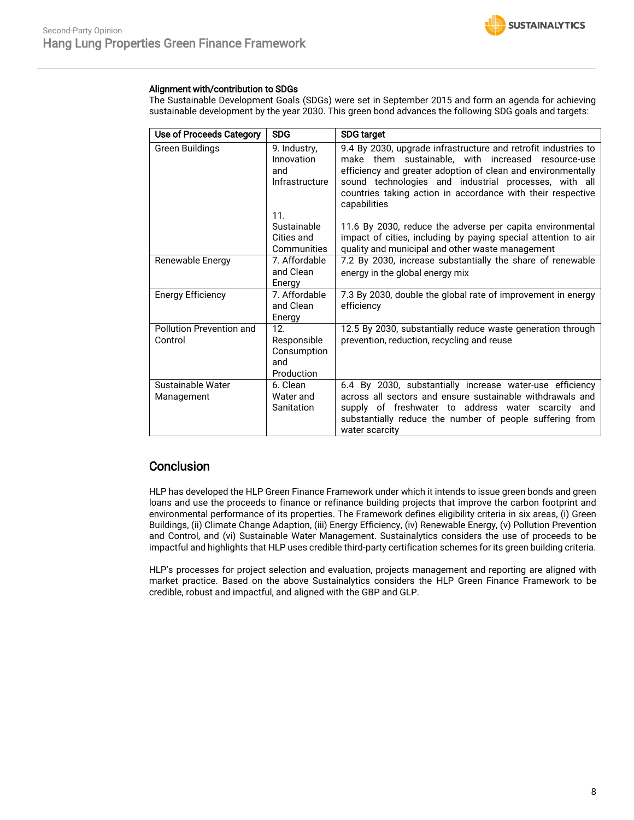

#### Alignment with/contribution to SDGs

The Sustainable Development Goals (SDGs) were set in September 2015 and form an agenda for achieving sustainable development by the year 2030. This green bond advances the following SDG goals and targets:

| Use of Proceeds Category            | <b>SDG</b>                                                         | <b>SDG target</b>                                                                                                                                                                                                                                                                                                            |
|-------------------------------------|--------------------------------------------------------------------|------------------------------------------------------------------------------------------------------------------------------------------------------------------------------------------------------------------------------------------------------------------------------------------------------------------------------|
| Green Buildings                     | 9. Industry,<br>Innovation<br>and<br>Infrastructure                | 9.4 By 2030, upgrade infrastructure and retrofit industries to<br>make them sustainable, with increased resource-use<br>efficiency and greater adoption of clean and environmentally<br>sound technologies and industrial processes, with all<br>countries taking action in accordance with their respective<br>capabilities |
|                                     | 11.<br>Sustainable<br>Cities and<br>Communities                    | 11.6 By 2030, reduce the adverse per capita environmental<br>impact of cities, including by paying special attention to air<br>quality and municipal and other waste management                                                                                                                                              |
| Renewable Energy                    | 7. Affordable<br>and Clean<br>Energy                               | 7.2 By 2030, increase substantially the share of renewable<br>energy in the global energy mix                                                                                                                                                                                                                                |
| <b>Energy Efficiency</b>            | 7. Affordable<br>and Clean<br>Energy                               | 7.3 By 2030, double the global rate of improvement in energy<br>efficiency                                                                                                                                                                                                                                                   |
| Pollution Prevention and<br>Control | 12 <sub>1</sub><br>Responsible<br>Consumption<br>and<br>Production | 12.5 By 2030, substantially reduce waste generation through<br>prevention, reduction, recycling and reuse                                                                                                                                                                                                                    |
| Sustainable Water<br>Management     | 6. Clean<br>Water and<br>Sanitation                                | 6.4 By 2030, substantially increase water-use efficiency<br>across all sectors and ensure sustainable withdrawals and<br>supply of freshwater to address water scarcity<br>and<br>substantially reduce the number of people suffering from<br>water scarcity                                                                 |

## **Conclusion**

HLP has developed the HLP Green Finance Framework under which it intends to issue green bonds and green loans and use the proceeds to finance or refinance building projects that improve the carbon footprint and environmental performance of its properties. The Framework defines eligibility criteria in six areas, (i) Green Buildings, (ii) Climate Change Adaption, (iii) Energy Efficiency, (iv) Renewable Energy, (v) Pollution Prevention and Control, and (vi) Sustainable Water Management. Sustainalytics considers the use of proceeds to be impactful and highlights that HLP uses credible third-party certification schemes for its green building criteria.

HLP's processes for project selection and evaluation, projects management and reporting are aligned with market practice. Based on the above Sustainalytics considers the HLP Green Finance Framework to be credible, robust and impactful, and aligned with the GBP and GLP.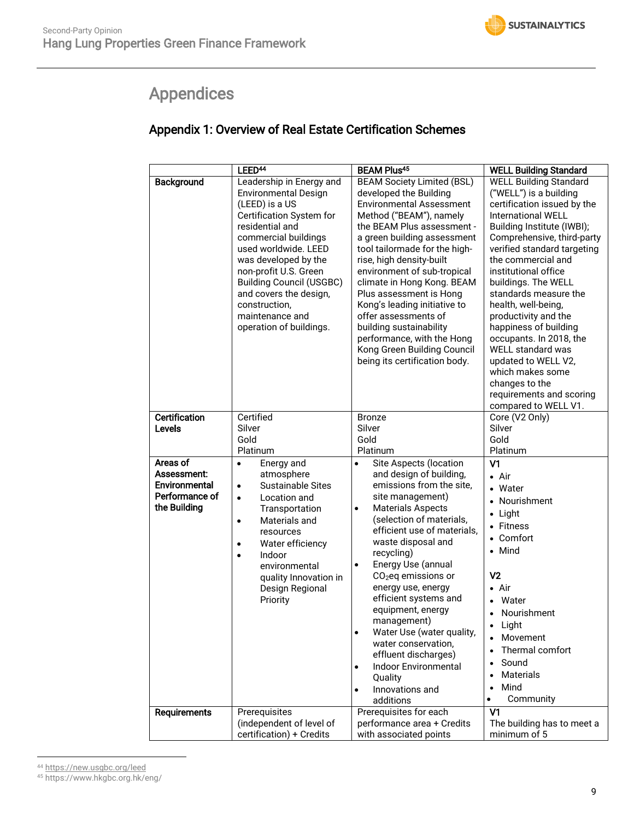# <span id="page-8-0"></span>Appendices

## Appendix 1: Overview of Real Estate Certification Schemes

|                                                                            | LEED <sup>44</sup>                                                                                                                                                                                                                                                                                                                                    | <b>BEAM Plus45</b>                                                                                                                                                                                                                                                                                                                                                                                                                                                                                                                                                                                 | <b>WELL Building Standard</b>                                                                                                                                                                                                                                                                                                                                                                                                                                                                                                                                |
|----------------------------------------------------------------------------|-------------------------------------------------------------------------------------------------------------------------------------------------------------------------------------------------------------------------------------------------------------------------------------------------------------------------------------------------------|----------------------------------------------------------------------------------------------------------------------------------------------------------------------------------------------------------------------------------------------------------------------------------------------------------------------------------------------------------------------------------------------------------------------------------------------------------------------------------------------------------------------------------------------------------------------------------------------------|--------------------------------------------------------------------------------------------------------------------------------------------------------------------------------------------------------------------------------------------------------------------------------------------------------------------------------------------------------------------------------------------------------------------------------------------------------------------------------------------------------------------------------------------------------------|
| Background                                                                 | Leadership in Energy and<br><b>Environmental Design</b><br>(LEED) is a US<br>Certification System for<br>residential and<br>commercial buildings<br>used worldwide. LEED<br>was developed by the<br>non-profit U.S. Green<br><b>Building Council (USGBC)</b><br>and covers the design,<br>construction,<br>maintenance and<br>operation of buildings. | <b>BEAM Society Limited (BSL)</b><br>developed the Building<br><b>Environmental Assessment</b><br>Method ("BEAM"), namely<br>the BEAM Plus assessment -<br>a green building assessment<br>tool tailormade for the high-<br>rise, high density-built<br>environment of sub-tropical<br>climate in Hong Kong. BEAM<br>Plus assessment is Hong<br>Kong's leading initiative to<br>offer assessments of<br>building sustainability<br>performance, with the Hong<br>Kong Green Building Council<br>being its certification body.                                                                       | <b>WELL Building Standard</b><br>("WELL") is a building<br>certification issued by the<br><b>International WELL</b><br>Building Institute (IWBI);<br>Comprehensive, third-party<br>verified standard targeting<br>the commercial and<br>institutional office<br>buildings. The WELL<br>standards measure the<br>health, well-being,<br>productivity and the<br>happiness of building<br>occupants. In 2018, the<br><b>WELL standard was</b><br>updated to WELL V2,<br>which makes some<br>changes to the<br>requirements and scoring<br>compared to WELL V1. |
| <b>Certification</b><br><b>Levels</b>                                      | Certified<br>Silver<br>Gold<br>Platinum                                                                                                                                                                                                                                                                                                               | <b>Bronze</b><br>Silver<br>Gold<br>Platinum                                                                                                                                                                                                                                                                                                                                                                                                                                                                                                                                                        | Core (V2 Only)<br>Silver<br>Gold<br>Platinum                                                                                                                                                                                                                                                                                                                                                                                                                                                                                                                 |
| Areas of<br>Assessment:<br>Environmental<br>Performance of<br>the Building | Energy and<br>$\bullet$<br>atmosphere<br><b>Sustainable Sites</b><br>$\bullet$<br>Location and<br>$\bullet$<br>Transportation<br>Materials and<br>$\bullet$<br>resources<br>Water efficiency<br>$\bullet$<br>Indoor<br>$\bullet$<br>environmental<br>quality Innovation in<br>Design Regional<br>Priority                                             | Site Aspects (location<br>$\bullet$<br>and design of building,<br>emissions from the site,<br>site management)<br><b>Materials Aspects</b><br>$\bullet$<br>(selection of materials,<br>efficient use of materials,<br>waste disposal and<br>recycling)<br>Energy Use (annual<br>$\bullet$<br>$CO2$ eq emissions or<br>energy use, energy<br>efficient systems and<br>equipment, energy<br>management)<br>$\bullet$<br>Water Use (water quality,<br>water conservation,<br>effluent discharges)<br><b>Indoor Environmental</b><br>$\bullet$<br>Quality<br>Innovations and<br>$\bullet$<br>additions | V <sub>1</sub><br>$\bullet$ Air<br>• Water<br>• Nourishment<br>$\bullet$ Light<br>• Fitness<br>• Comfort<br>• Mind<br>V <sub>2</sub><br>$\bullet$ Air<br>• Water<br>Nourishment<br>Light<br>• Movement<br>Thermal comfort<br>Sound<br>$\bullet$<br>Materials<br>$\bullet$<br>Mind<br>$\bullet$<br>Community<br>$\bullet$                                                                                                                                                                                                                                     |
| Requirements                                                               | Prerequisites<br>(independent of level of<br>certification) + Credits                                                                                                                                                                                                                                                                                 | Prerequisites for each<br>performance area + Credits<br>with associated points                                                                                                                                                                                                                                                                                                                                                                                                                                                                                                                     | V <sub>1</sub><br>The building has to meet a<br>minimum of 5                                                                                                                                                                                                                                                                                                                                                                                                                                                                                                 |

 $\overline{a}$ <sup>44</sup> <https://new.usgbc.org/leed>

<sup>45</sup> https://www.hkgbc.org.hk/eng/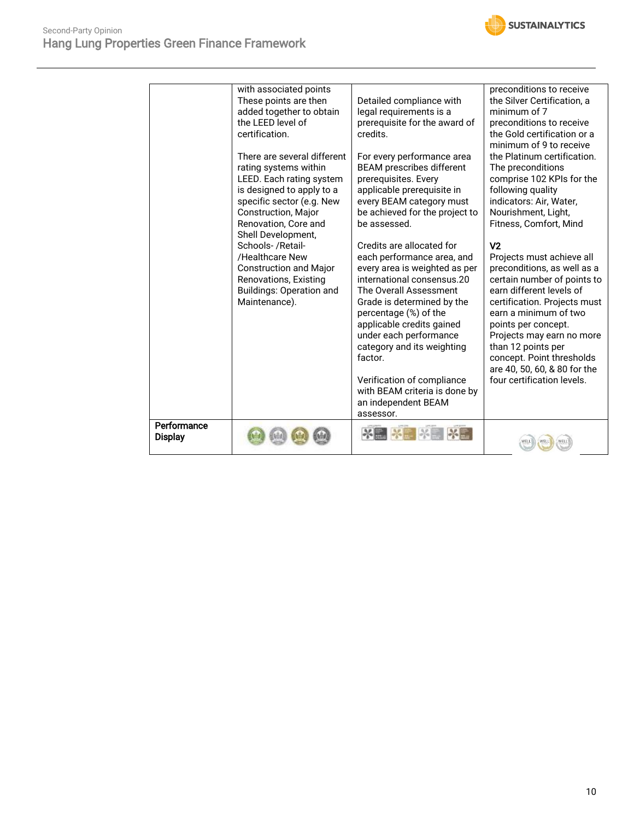

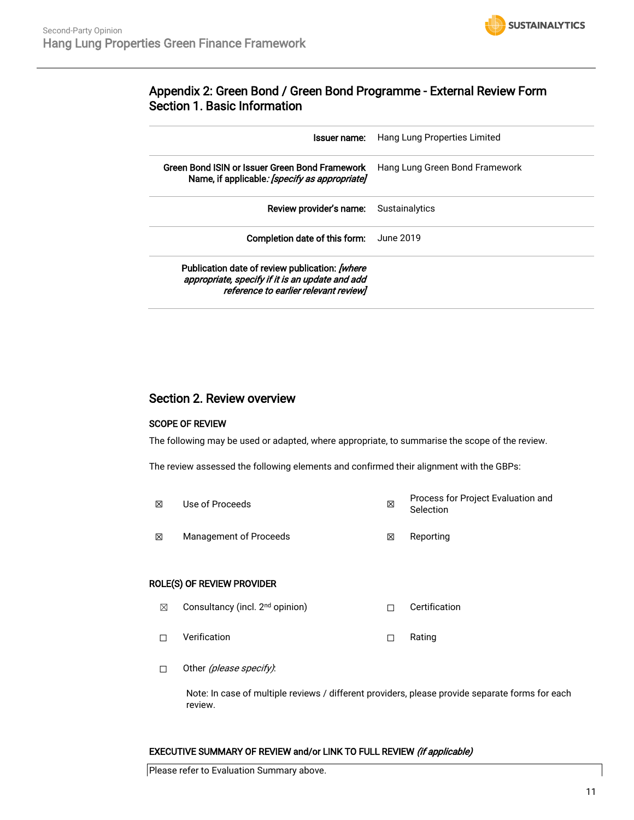

## Appendix 2: Green Bond / Green Bond Programme - External Review Form Section 1. Basic Information

| Issuer name:                                                                                                                               | Hang Lung Properties Limited   |
|--------------------------------------------------------------------------------------------------------------------------------------------|--------------------------------|
| Green Bond ISIN or Issuer Green Bond Framework<br>Name, if applicable: [specify as appropriate]                                            | Hang Lung Green Bond Framework |
| <b>Review provider's name:</b> Sustainalytics                                                                                              |                                |
| Completion date of this form:                                                                                                              | June 2019.                     |
| Publication date of review publication: [where<br>appropriate, specify if it is an update and add<br>reference to earlier relevant review] |                                |

## Section 2. Review overview

#### SCOPE OF REVIEW

The following may be used or adapted, where appropriate, to summarise the scope of the review.

The review assessed the following elements and confirmed their alignment with the GBPs:

☒ Use of Proceeds ☒ Process for Project Evaluation and Selection **⊠** Management of Proceeds **Ⅱ I Reporting** 

#### ROLE(S) OF REVIEW PROVIDER

- **⊠** Consultancy (incl. 2<sup>nd</sup> opinion) □ □ Certification
- ☐ Verification ☐ Rating
- □ Other (please specify):

Note: In case of multiple reviews / different providers, please provide separate forms for each review.

#### EXECUTIVE SUMMARY OF REVIEW and/or LINK TO FULL REVIEW (if applicable)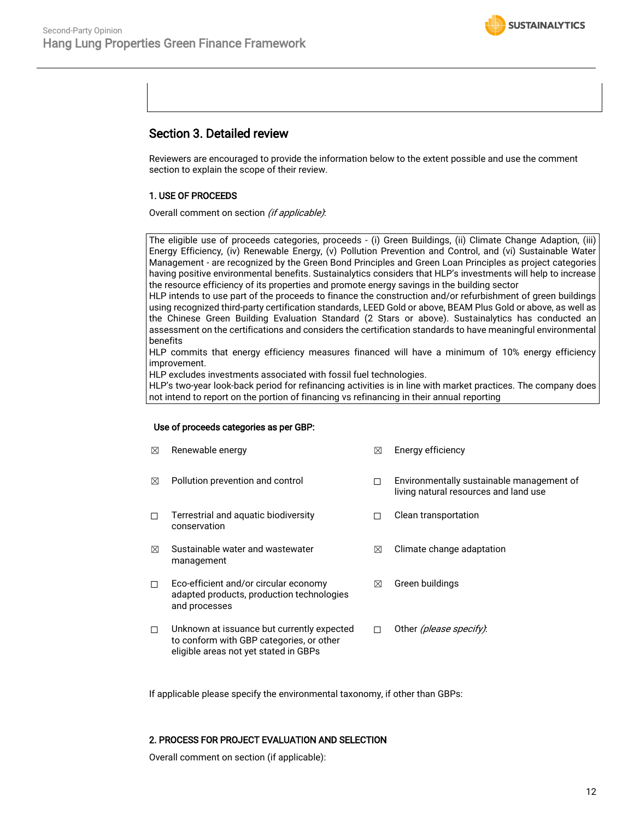

## Section 3. Detailed review

Reviewers are encouraged to provide the information below to the extent possible and use the comment section to explain the scope of their review.

#### 1. USE OF PROCEEDS

Overall comment on section (if applicable):

The eligible use of proceeds categories, proceeds - (i) Green Buildings, (ii) Climate Change Adaption, (iii) Energy Efficiency, (iv) Renewable Energy, (v) Pollution Prevention and Control, and (vi) Sustainable Water Management - are recognized by the Green Bond Principles and Green Loan Principles as project categories having positive environmental benefits. Sustainalytics considers that HLP's investments will help to increase the resource efficiency of its properties and promote energy savings in the building sector

HLP intends to use part of the proceeds to finance the construction and/or refurbishment of green buildings using recognized third-party certification standards, LEED Gold or above, BEAM Plus Gold or above, as well as the Chinese Green Building Evaluation Standard (2 Stars or above). Sustainalytics has conducted an assessment on the certifications and considers the certification standards to have meaningful environmental benefits

HLP commits that energy efficiency measures financed will have a minimum of 10% energy efficiency improvement.

HLP excludes investments associated with fossil fuel technologies.

HLP's two-year look-back period for refinancing activities is in line with market practices. The company does not intend to report on the portion of financing vs refinancing in their annual reporting

#### Use of proceeds categories as per GBP:

| $\boxtimes$ | Renewable energy                                                                                                                | ⊠ | Energy efficiency                                                                  |
|-------------|---------------------------------------------------------------------------------------------------------------------------------|---|------------------------------------------------------------------------------------|
| ⊠           | Pollution prevention and control                                                                                                | п | Environmentally sustainable management of<br>living natural resources and land use |
| п           | Terrestrial and aquatic biodiversity<br>conservation                                                                            | П | Clean transportation                                                               |
| ⊠           | Sustainable water and wastewater<br>management                                                                                  | ⊠ | Climate change adaptation                                                          |
| $\Box$      | Eco-efficient and/or circular economy<br>adapted products, production technologies<br>and processes                             | ⊠ | Green buildings                                                                    |
| $\Box$      | Unknown at issuance but currently expected<br>to conform with GBP categories, or other<br>eligible areas not yet stated in GBPs | П | Other (please specify).                                                            |

If applicable please specify the environmental taxonomy, if other than GBPs:

#### 2. PROCESS FOR PROJECT EVALUATION AND SELECTION

Overall comment on section (if applicable):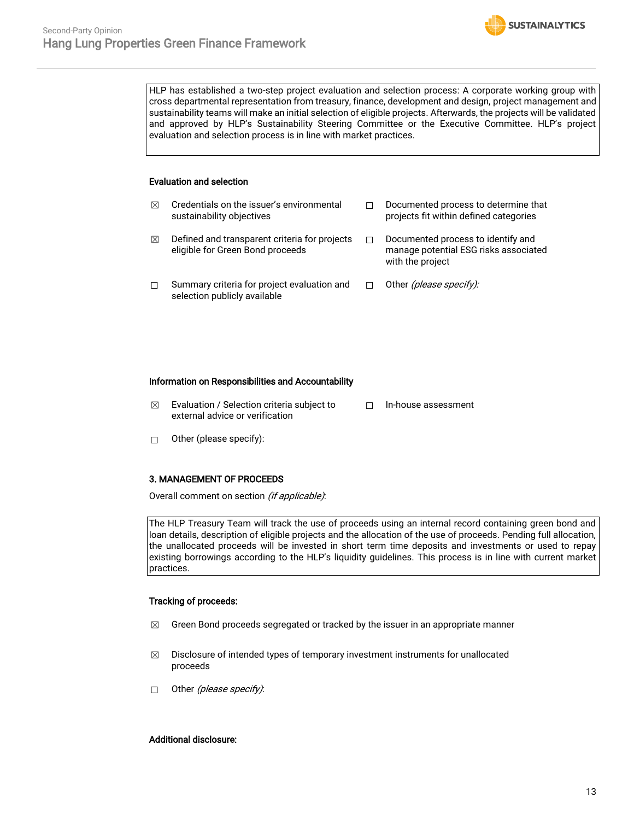HLP has established a two-step project evaluation and selection process: A corporate working group with cross departmental representation from treasury, finance, development and design, project management and sustainability teams will make an initial selection of eligible projects. Afterwards, the projects will be validated and approved by HLP's Sustainability Steering Committee or the Executive Committee. HLP's project evaluation and selection process is in line with market practices.

**SUSTAINALYTICS** 

#### Evaluation and selection

| ⊠ | Credentials on the issuer's environmental<br>sustainability objectives            | Documented process to determine that<br>projects fit within defined categories                  |
|---|-----------------------------------------------------------------------------------|-------------------------------------------------------------------------------------------------|
| ⊠ | Defined and transparent criteria for projects<br>eligible for Green Bond proceeds | Documented process to identify and<br>manage potential ESG risks associated<br>with the project |
| П | Summary criteria for project evaluation and<br>selection publicly available       | Other <i>(please specify):</i>                                                                  |

#### Information on Responsibilities and Accountability

- $\boxtimes$  Evaluation / Selection criteria subject to external advice or verification ☐ In-house assessment
- ☐ Other (please specify):

#### 3. MANAGEMENT OF PROCEEDS

Overall comment on section (if applicable):

The HLP Treasury Team will track the use of proceeds using an internal record containing green bond and loan details, description of eligible projects and the allocation of the use of proceeds. Pending full allocation, the unallocated proceeds will be invested in short term time deposits and investments or used to repay existing borrowings according to the HLP's liquidity guidelines. This process is in line with current market practices.

#### Tracking of proceeds:

- $\boxtimes$  Green Bond proceeds segregated or tracked by the issuer in an appropriate manner
- $\boxtimes$  Disclosure of intended types of temporary investment instruments for unallocated proceeds
- □ Other (please specify):

#### Additional disclosure: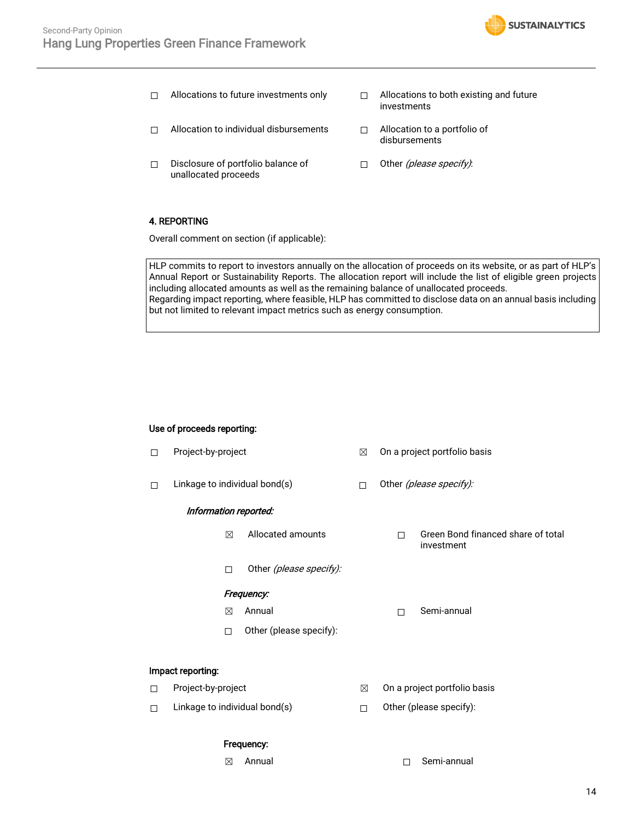

- 
- □ Allocation to individual disbursements □ Allocation to a portfolio of
- ☐ Disclosure of portfolio balance of unallocated proceeds
- ☐ Allocations to future investments only ☐ Allocations to both existing and future investments
	- disbursements
	- □ Other (please specify):

#### 4. REPORTING

Overall comment on section (if applicable):

HLP commits to report to investors annually on the allocation of proceeds on its website, or as part of HLP's Annual Report or Sustainability Reports. The allocation report will include the list of eligible green projects including allocated amounts as well as the remaining balance of unallocated proceeds. Regarding impact reporting, where feasible, HLP has committed to disclose data on an annual basis including but not limited to relevant impact metrics such as energy consumption.

#### Use of proceeds reporting:

☐ Project-by-project ☒ On a project portfolio basis □ Linkage to individual bond(s) □ Other (please specify): Information reported: ☒ Allocated amounts ☐ Green Bond financed share of total investment □ Other *(please specify)*: Frequency: ☒ Annual ☐ Semi-annual ☐ Other (please specify): Impact reporting: ☐ Project-by-project ☒ On a project portfolio basis ☐ Linkage to individual bond(s) ☐ Other (please specify):

#### Frequency:

- 
- ☒ Annual ☐ Semi-annual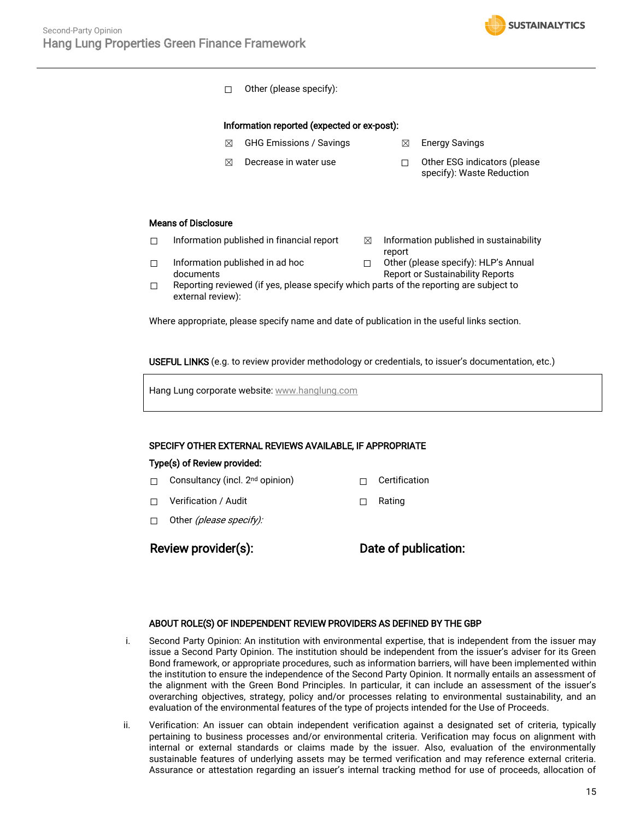

☐ Other (please specify):

#### Information reported (expected or ex-post):

- ☒ GHG Emissions / Savings ☒ Energy Savings
- **⊠** Decrease in water use □ □ Other ESG indicators (please specify): Waste Reduction

#### Means of Disclosure

documents

 $\Box$  Information published in financial report  $\boxtimes$  Information published in sustainability

☐ Information published in ad hoc

- report
- ☐ Other (please specify): HLP's Annual Report or Sustainability Reports
- $\Box$  Reporting reviewed (if yes, please specify which parts of the reporting are subject to external review):

Where appropriate, please specify name and date of publication in the useful links section.

USEFUL LINKS (e.g. to review provider methodology or credentials, to issuer's documentation, etc.)

Hang Lung corporate website: [www.hanglung.com](http://www.hanglung.com/)

#### SPECIFY OTHER EXTERNAL REVIEWS AVAILABLE, IF APPROPRIATE

#### Type(s) of Review provided:

☐ Consultancy (incl. 2nd opinion) ☐ Certification

☐ Verification / Audit ☐ Rating

□ Other (please specify):

Review provider(s): Date of publication:

#### ABOUT ROLE(S) OF INDEPENDENT REVIEW PROVIDERS AS DEFINED BY THE GBP

- i. Second Party Opinion: An institution with environmental expertise, that is independent from the issuer may issue a Second Party Opinion. The institution should be independent from the issuer's adviser for its Green Bond framework, or appropriate procedures, such as information barriers, will have been implemented within the institution to ensure the independence of the Second Party Opinion. It normally entails an assessment of the alignment with the Green Bond Principles. In particular, it can include an assessment of the issuer's overarching objectives, strategy, policy and/or processes relating to environmental sustainability, and an evaluation of the environmental features of the type of projects intended for the Use of Proceeds.
- ii. Verification: An issuer can obtain independent verification against a designated set of criteria, typically pertaining to business processes and/or environmental criteria. Verification may focus on alignment with internal or external standards or claims made by the issuer. Also, evaluation of the environmentally sustainable features of underlying assets may be termed verification and may reference external criteria. Assurance or attestation regarding an issuer's internal tracking method for use of proceeds, allocation of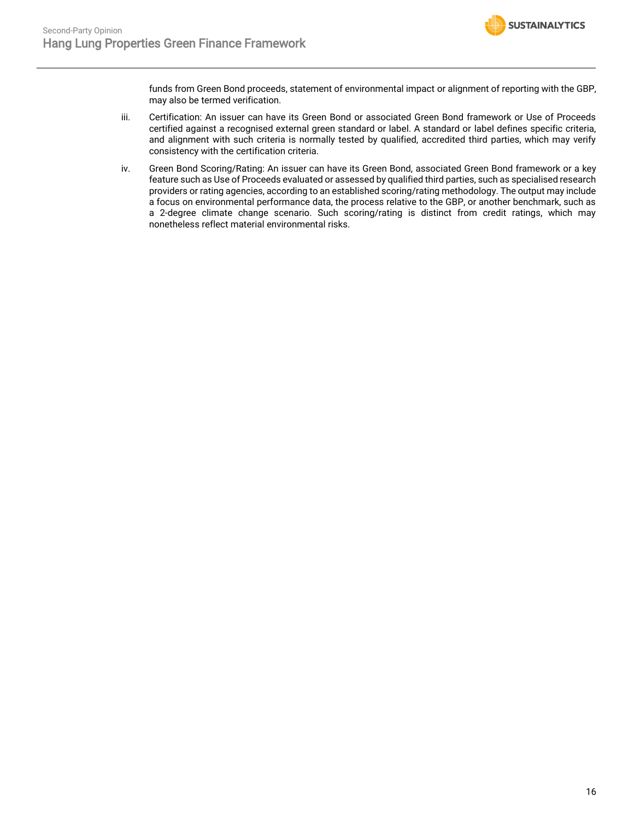

funds from Green Bond proceeds, statement of environmental impact or alignment of reporting with the GBP, may also be termed verification.

- iii. Certification: An issuer can have its Green Bond or associated Green Bond framework or Use of Proceeds certified against a recognised external green standard or label. A standard or label defines specific criteria, and alignment with such criteria is normally tested by qualified, accredited third parties, which may verify consistency with the certification criteria.
- iv. Green Bond Scoring/Rating: An issuer can have its Green Bond, associated Green Bond framework or a key feature such as Use of Proceeds evaluated or assessed by qualified third parties, such as specialised research providers or rating agencies, according to an established scoring/rating methodology. The output may include a focus on environmental performance data, the process relative to the GBP, or another benchmark, such as a 2-degree climate change scenario. Such scoring/rating is distinct from credit ratings, which may nonetheless reflect material environmental risks.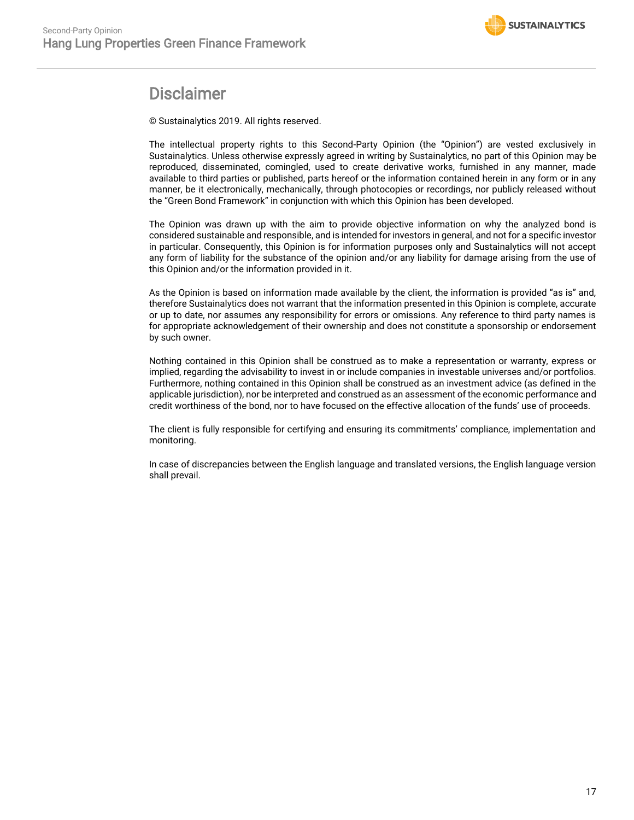

## **Disclaimer**

© Sustainalytics 2019. All rights reserved.

The intellectual property rights to this Second-Party Opinion (the "Opinion") are vested exclusively in Sustainalytics. Unless otherwise expressly agreed in writing by Sustainalytics, no part of this Opinion may be reproduced, disseminated, comingled, used to create derivative works, furnished in any manner, made available to third parties or published, parts hereof or the information contained herein in any form or in any manner, be it electronically, mechanically, through photocopies or recordings, nor publicly released without the "Green Bond Framework" in conjunction with which this Opinion has been developed.

The Opinion was drawn up with the aim to provide objective information on why the analyzed bond is considered sustainable and responsible, and is intended for investors in general, and not for a specific investor in particular. Consequently, this Opinion is for information purposes only and Sustainalytics will not accept any form of liability for the substance of the opinion and/or any liability for damage arising from the use of this Opinion and/or the information provided in it.

As the Opinion is based on information made available by the client, the information is provided "as is" and, therefore Sustainalytics does not warrant that the information presented in this Opinion is complete, accurate or up to date, nor assumes any responsibility for errors or omissions. Any reference to third party names is for appropriate acknowledgement of their ownership and does not constitute a sponsorship or endorsement by such owner.

Nothing contained in this Opinion shall be construed as to make a representation or warranty, express or implied, regarding the advisability to invest in or include companies in investable universes and/or portfolios. Furthermore, nothing contained in this Opinion shall be construed as an investment advice (as defined in the applicable jurisdiction), nor be interpreted and construed as an assessment of the economic performance and credit worthiness of the bond, nor to have focused on the effective allocation of the funds' use of proceeds.

The client is fully responsible for certifying and ensuring its commitments' compliance, implementation and monitoring.

In case of discrepancies between the English language and translated versions, the English language version shall prevail.